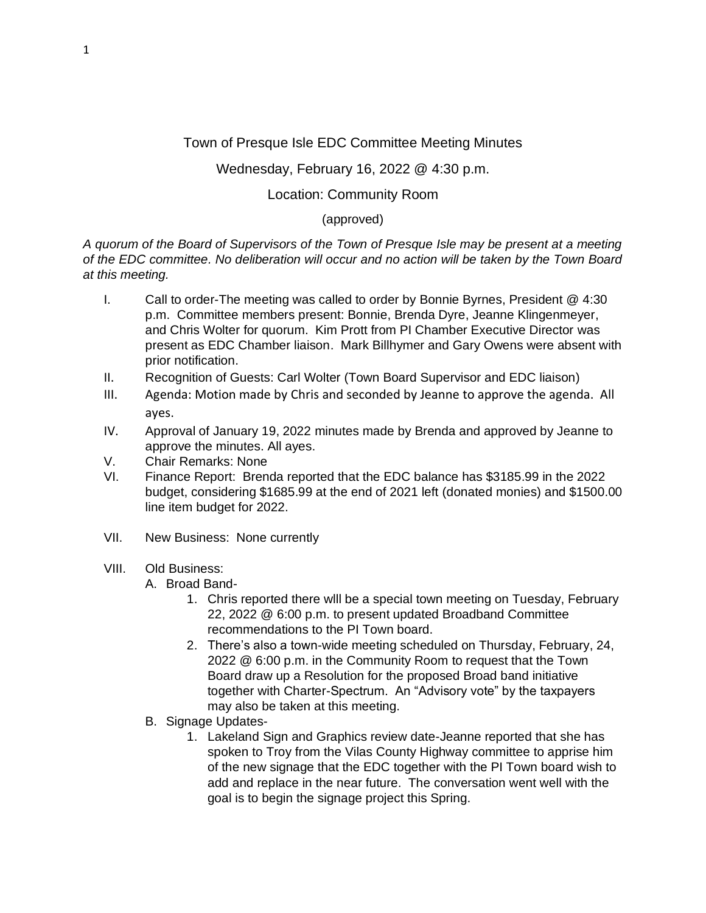# Town of Presque Isle EDC Committee Meeting Minutes

## Wednesday, February 16, 2022 @ 4:30 p.m.

### Location: Community Room

#### (approved)

*A quorum of the Board of Supervisors of the Town of Presque Isle may be present at a meeting of the EDC committee. No deliberation will occur and no action will be taken by the Town Board at this meeting.*

- I. Call to order-The meeting was called to order by Bonnie Byrnes, President @ 4:30 p.m. Committee members present: Bonnie, Brenda Dyre, Jeanne Klingenmeyer, and Chris Wolter for quorum. Kim Prott from PI Chamber Executive Director was present as EDC Chamber liaison. Mark Billhymer and Gary Owens were absent with prior notification.
- II. Recognition of Guests: Carl Wolter (Town Board Supervisor and EDC liaison)
- III. Agenda: Motion made by Chris and seconded by Jeanne to approve the agenda. All ayes.
- IV. Approval of January 19, 2022 minutes made by Brenda and approved by Jeanne to approve the minutes. All ayes.
- V. Chair Remarks: None
- VI. Finance Report: Brenda reported that the EDC balance has \$3185.99 in the 2022 budget, considering \$1685.99 at the end of 2021 left (donated monies) and \$1500.00 line item budget for 2022.
- VII. New Business: None currently

#### VIII. Old Business:

A. Broad Band-

- 1. Chris reported there wlll be a special town meeting on Tuesday, February 22, 2022 @ 6:00 p.m. to present updated Broadband Committee recommendations to the PI Town board.
- 2. There's also a town-wide meeting scheduled on Thursday, February, 24, 2022 @ 6:00 p.m. in the Community Room to request that the Town Board draw up a Resolution for the proposed Broad band initiative together with Charter-Spectrum. An "Advisory vote" by the taxpayers may also be taken at this meeting.
- B. Signage Updates-
	- 1. Lakeland Sign and Graphics review date-Jeanne reported that she has spoken to Troy from the Vilas County Highway committee to apprise him of the new signage that the EDC together with the PI Town board wish to add and replace in the near future. The conversation went well with the goal is to begin the signage project this Spring.